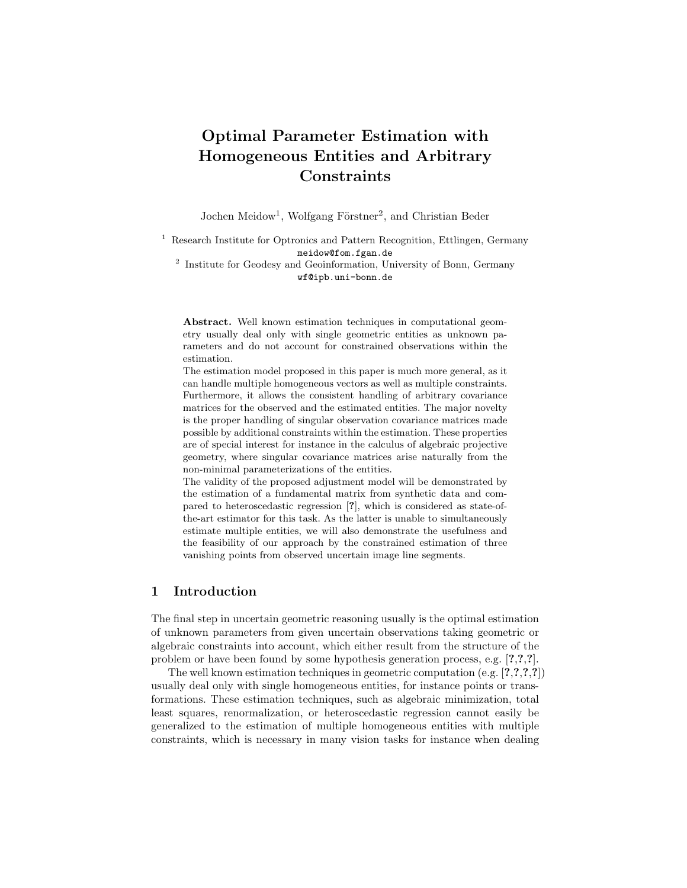# Optimal Parameter Estimation with Homogeneous Entities and Arbitrary Constraints

Jochen Meidow<sup>1</sup>, Wolfgang Förstner<sup>2</sup>, and Christian Beder

<sup>1</sup> Research Institute for Optronics and Pattern Recognition, Ettlingen, Germany meidow@fom.fgan.de

<sup>2</sup> Institute for Geodesy and Geoinformation, University of Bonn, Germany wf@ipb.uni-bonn.de

Abstract. Well known estimation techniques in computational geometry usually deal only with single geometric entities as unknown parameters and do not account for constrained observations within the estimation.

The estimation model proposed in this paper is much more general, as it can handle multiple homogeneous vectors as well as multiple constraints. Furthermore, it allows the consistent handling of arbitrary covariance matrices for the observed and the estimated entities. The major novelty is the proper handling of singular observation covariance matrices made possible by additional constraints within the estimation. These properties are of special interest for instance in the calculus of algebraic projective geometry, where singular covariance matrices arise naturally from the non-minimal parameterizations of the entities.

The validity of the proposed adjustment model will be demonstrated by the estimation of a fundamental matrix from synthetic data and compared to heteroscedastic regression [?], which is considered as state-ofthe-art estimator for this task. As the latter is unable to simultaneously estimate multiple entities, we will also demonstrate the usefulness and the feasibility of our approach by the constrained estimation of three vanishing points from observed uncertain image line segments.

## 1 Introduction

The final step in uncertain geometric reasoning usually is the optimal estimation of unknown parameters from given uncertain observations taking geometric or algebraic constraints into account, which either result from the structure of the problem or have been found by some hypothesis generation process, e.g. [?,?,?].

The well known estimation techniques in geometric computation (e.g. [?,?,?,?]) usually deal only with single homogeneous entities, for instance points or transformations. These estimation techniques, such as algebraic minimization, total least squares, renormalization, or heteroscedastic regression cannot easily be generalized to the estimation of multiple homogeneous entities with multiple constraints, which is necessary in many vision tasks for instance when dealing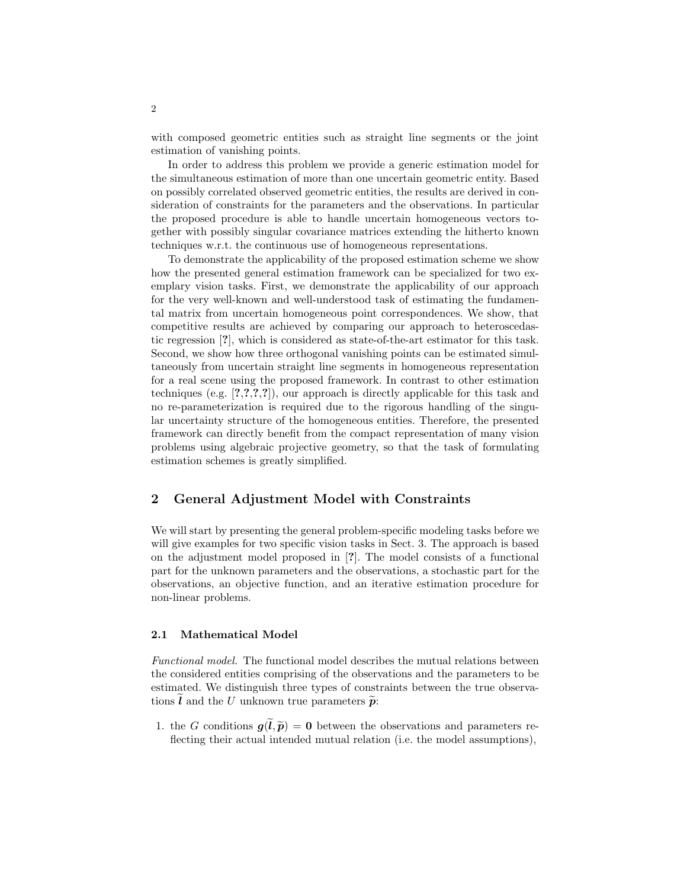with composed geometric entities such as straight line segments or the joint estimation of vanishing points.

In order to address this problem we provide a generic estimation model for the simultaneous estimation of more than one uncertain geometric entity. Based on possibly correlated observed geometric entities, the results are derived in consideration of constraints for the parameters and the observations. In particular the proposed procedure is able to handle uncertain homogeneous vectors together with possibly singular covariance matrices extending the hitherto known techniques w.r.t. the continuous use of homogeneous representations.

To demonstrate the applicability of the proposed estimation scheme we show how the presented general estimation framework can be specialized for two exemplary vision tasks. First, we demonstrate the applicability of our approach for the very well-known and well-understood task of estimating the fundamental matrix from uncertain homogeneous point correspondences. We show, that competitive results are achieved by comparing our approach to heteroscedastic regression [?], which is considered as state-of-the-art estimator for this task. Second, we show how three orthogonal vanishing points can be estimated simultaneously from uncertain straight line segments in homogeneous representation for a real scene using the proposed framework. In contrast to other estimation techniques (e.g. [?,?,?,?]), our approach is directly applicable for this task and no re-parameterization is required due to the rigorous handling of the singular uncertainty structure of the homogeneous entities. Therefore, the presented framework can directly benefit from the compact representation of many vision problems using algebraic projective geometry, so that the task of formulating estimation schemes is greatly simplified.

## 2 General Adjustment Model with Constraints

We will start by presenting the general problem-specific modeling tasks before we will give examples for two specific vision tasks in Sect. 3. The approach is based on the adjustment model proposed in [?]. The model consists of a functional part for the unknown parameters and the observations, a stochastic part for the observations, an objective function, and an iterative estimation procedure for non-linear problems.

### 2.1 Mathematical Model

Functional model. The functional model describes the mutual relations between the considered entities comprising of the observations and the parameters to be estimated. We distinguish three types of constraints between the true observations *l* and the U unknown true parameters  $\tilde{p}$ :

1. the G conditions  $g(\tilde{l}, \tilde{p}) = 0$  between the observations and parameters reflecting their actual intended mutual relation (i.e. the model assumptions),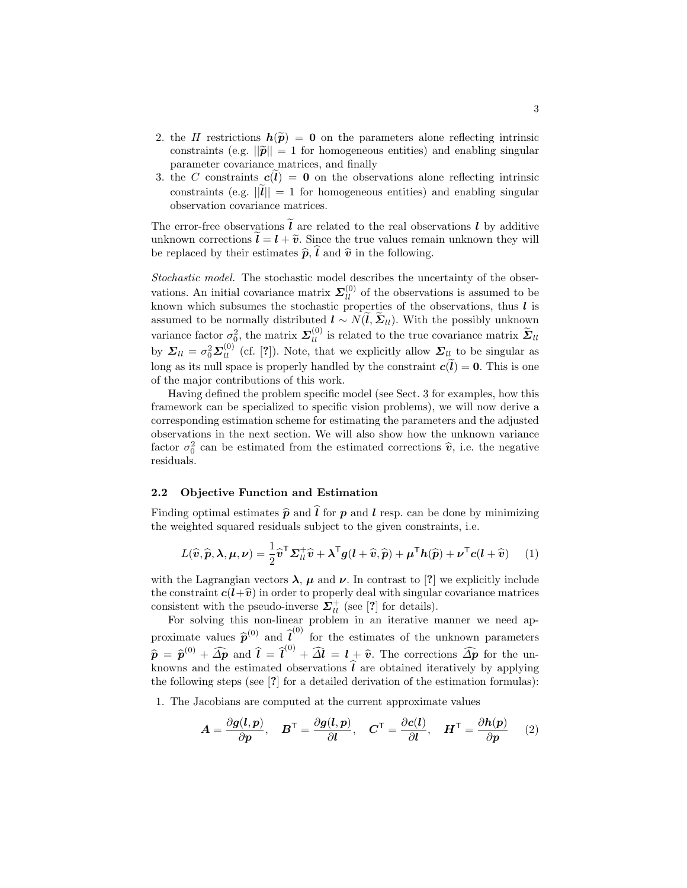- 2. the H restrictions  $h(\tilde{p}) = 0$  on the parameters alone reflecting intrinsic constraints (e.g.  $||\tilde{p}|| = 1$  for homogeneous entities) and enabling singular parameter covariance matrices, and finally
- 3. the C constraints  $c(l) = 0$  on the observations alone reflecting intrinsic constraints (e.g.  $||\mathbf{l}|| = 1$  for homogeneous entities) and enabling singular observation covariance matrices.

The error-free observations  $\vec{l}$  are related to the real observations  $\vec{l}$  by additive unknown corrections  $\hat{l} = l + \tilde{v}$ . Since the true values remain unknown they will be replaced by their estimates  $\hat{p}, \hat{l}$  and  $\hat{v}$  in the following.

Stochastic model. The stochastic model describes the uncertainty of the observations. An initial covariance matrix  $\mathcal{L}_{ll}^{(0)}$  of the observations is assumed to be known which subsumes the stochastic properties of the observations, thus  $l$  is assumed to be normally distributed  $\mathbf{l} \sim N(\mathbf{l}, \Sigma_{ll})$ . With the possibly unknown variance factor  $\sigma_0^2$ , the matrix  $\Sigma_{ll}^{(0)}$  is related to the true covariance matrix  $\widetilde{\Sigma}_{ll}$ by  $\Sigma_{ll} = \sigma_0^2 \Sigma_{ll}^{(0)}$  (cf. [?]). Note, that we explicitly allow  $\Sigma_{ll}$  to be singular as long as its null space is properly handled by the constraint  $c(l) = 0$ . This is one of the major contributions of this work.

Having defined the problem specific model (see Sect. 3 for examples, how this framework can be specialized to specific vision problems), we will now derive a corresponding estimation scheme for estimating the parameters and the adjusted observations in the next section. We will also show how the unknown variance factor  $\sigma_0^2$  can be estimated from the estimated corrections  $\hat{v}$ , i.e. the negative regiduals residuals.

## 2.2 Objective Function and Estimation

Finding optimal estimates  $\hat{p}$  and  $\hat{l}$  for p and l resp. can be done by minimizing the weighted squared residuals subject to the given constraints, i.e.

$$
L(\widehat{\boldsymbol{v}}, \widehat{\boldsymbol{p}}, \boldsymbol{\lambda}, \boldsymbol{\mu}, \boldsymbol{\nu}) = \frac{1}{2} \widehat{\boldsymbol{v}}^{\mathsf{T}} \boldsymbol{\Sigma}_{ll}^{+} \widehat{\boldsymbol{v}} + \boldsymbol{\lambda}^{\mathsf{T}} \boldsymbol{g} (\boldsymbol{l} + \widehat{\boldsymbol{v}}, \widehat{\boldsymbol{p}}) + \boldsymbol{\mu}^{\mathsf{T}} \boldsymbol{h}(\widehat{\boldsymbol{p}}) + \boldsymbol{\nu}^{\mathsf{T}} \boldsymbol{c} (\boldsymbol{l} + \widehat{\boldsymbol{v}})
$$
(1)

with the Lagrangian vectors  $\lambda$ ,  $\mu$  and  $\nu$ . In contrast to [?] we explicitly include the constraint  $c(l+\hat{v})$  in order to properly deal with singular covariance matrices consistent with the pseudo-inverse  $\Sigma_{ll}^{+}$  (see [?] for details).

For solving this non-linear problem in an iterative manner we need approximate values  $\hat{p}^{(0)}$  and  $\hat{l}^{(0)}$  for the estimates of the unknown parameters  $\hat{\mathbf{p}} = \hat{\mathbf{p}}^{(0)} + \widehat{\Delta} \mathbf{p}$  and  $\hat{\mathbf{l}} = \hat{\mathbf{l}}^{(0)} + \widehat{\Delta} \mathbf{l} = \mathbf{l} + \hat{\mathbf{v}}$ . The corrections  $\widehat{\Delta} \mathbf{p}$  for the unknowns and the estimated observations  $\boldsymbol{l}$  are obtained iteratively by applying the following steps (see [?] for a detailed derivation of the estimation formulas):

1. The Jacobians are computed at the current approximate values

$$
\mathbf{A} = \frac{\partial \mathbf{g}(l, \mathbf{p})}{\partial \mathbf{p}}, \quad \mathbf{B}^{\mathsf{T}} = \frac{\partial \mathbf{g}(l, \mathbf{p})}{\partial l}, \quad \mathbf{C}^{\mathsf{T}} = \frac{\partial \mathbf{c}(l)}{\partial l}, \quad \mathbf{H}^{\mathsf{T}} = \frac{\partial \mathbf{h}(\mathbf{p})}{\partial \mathbf{p}} \tag{2}
$$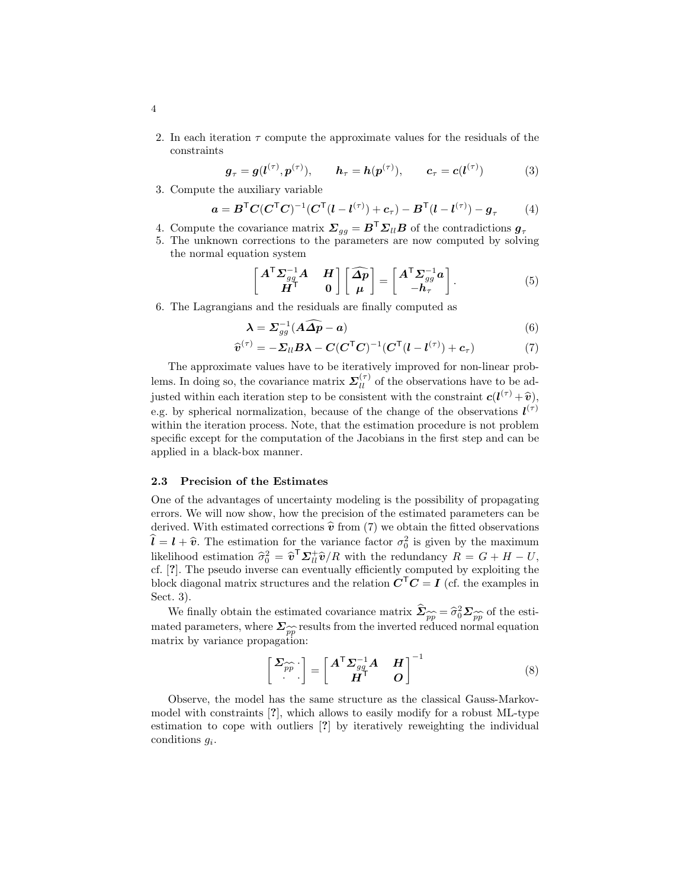2. In each iteration  $\tau$  compute the approximate values for the residuals of the constraints

$$
g_{\tau} = g(l^{(\tau)}, p^{(\tau)}), \qquad h_{\tau} = h(p^{(\tau)}), \qquad c_{\tau} = c(l^{(\tau)})
$$
 (3)

3. Compute the auxiliary variable

$$
\mathbf{a} = \mathbf{B}^{\mathsf{T}} \mathbf{C} (\mathbf{C}^{\mathsf{T}} \mathbf{C})^{-1} (\mathbf{C}^{\mathsf{T}} (\boldsymbol{l} - \boldsymbol{l}^{(\tau)}) + \mathbf{c}_{\tau}) - \mathbf{B}^{\mathsf{T}} (\boldsymbol{l} - \boldsymbol{l}^{(\tau)}) - \mathbf{g}_{\tau}
$$
(4)

- 4. Compute the covariance matrix  $\mathbf{\Sigma}_{gg} = \boldsymbol{B}^{\mathsf{T}} \mathbf{\Sigma}_{ll} \boldsymbol{B}$  of the contradictions  $\boldsymbol{g}_{\tau}$
- 5. The unknown corrections to the parameters are now computed by solving the normal equation system

$$
\begin{bmatrix} A^{\mathsf{T}} \Sigma_{gg}^{-1} A & H \\ H^{\mathsf{T}} & 0 \end{bmatrix} \begin{bmatrix} \widehat{\Delta p} \\ \mu \end{bmatrix} = \begin{bmatrix} A^{\mathsf{T}} \Sigma_{gg}^{-1} a \\ -h_{\tau} \end{bmatrix}.
$$
 (5)

6. The Lagrangians and the residuals are finally computed as

$$
\lambda = \Sigma_{gg}^{-1} (A \widehat{\Delta p} - a) \tag{6}
$$

$$
\widehat{\boldsymbol{v}}^{(\tau)} = -\boldsymbol{\Sigma}_{ll}\boldsymbol{B}\boldsymbol{\lambda} - \boldsymbol{C}(\boldsymbol{C}^{\mathsf{T}}\boldsymbol{C})^{-1}(\boldsymbol{C}^{\mathsf{T}}(l - \boldsymbol{l}^{(\tau)}) + \boldsymbol{c}_{\tau})
$$
\n(7)

The approximate values have to be iteratively improved for non-linear problems. In doing so, the covariance matrix  $\mathbf{\Sigma}_{ll}^{(\tau)}$  of the observations have to be adjusted within each iteration step to be consistent with the constraint  $c(l^{(\tau)} + \hat{v})$ , e.g. by spherical normalization, because of the change of the observations  $l^{(\tau)}$ within the iteration process. Note, that the estimation procedure is not problem specific except for the computation of the Jacobians in the first step and can be applied in a black-box manner.

#### 2.3 Precision of the Estimates

One of the advantages of uncertainty modeling is the possibility of propagating errors. We will now show, how the precision of the estimated parameters can be derived. With estimated corrections  $\hat{v}$  from (7) we obtain the fitted observations  $\hat{l} = l + \hat{v}$ . The estimation for the variance factor  $\sigma_0^2$  is given by the maximum<br>likelihood activation  $\hat{z}^2 = \hat{z}^\top \nabla^+ \hat{z}/R$  with the valued<br>are  $R = \hat{C} + H - H$ . likelihood estimation  $\hat{\sigma}_0^2 = \hat{\mathbf{v}}^T \Sigma_n^+ \hat{\mathbf{v}}/R$  with the redundancy  $R = G + H - U$ ,  $\sigma_f^2$  The pseudo inverse can eventually efficiently computed by exploiting the cf. [?]. The pseudo inverse can eventually efficiently computed by exploiting the block diagonal matrix structures and the relation  $C<sup>T</sup>C = I$  (cf. the examples in Sect. 3).

We finally obtain the estimated covariance matrix  $\hat{\Sigma}_{\hat{p}\hat{p}} = \hat{\sigma}_0^2 \Sigma_{\hat{p}\hat{p}}$  of the esti-<br>ted parameters, where  $\Sigma$  results from the inverted reduced normal equation mated parameters, where  $\Sigma_{\widehat{\alpha}}$  results from the inverted reduced normal equation  $\frac{1}{p}$  matrix by variance propagation:

$$
\begin{bmatrix} \Sigma_{\widehat{pp}} \\ \vdots \end{bmatrix} = \begin{bmatrix} A^{\mathsf{T}} \Sigma_{gg}^{-1} A & H \\ H^{\mathsf{T}} & O \end{bmatrix}^{-1}
$$
 (8)

Observe, the model has the same structure as the classical Gauss-Markovmodel with constraints [?], which allows to easily modify for a robust ML-type estimation to cope with outliers [?] by iteratively reweighting the individual conditions  $g_i$ .

4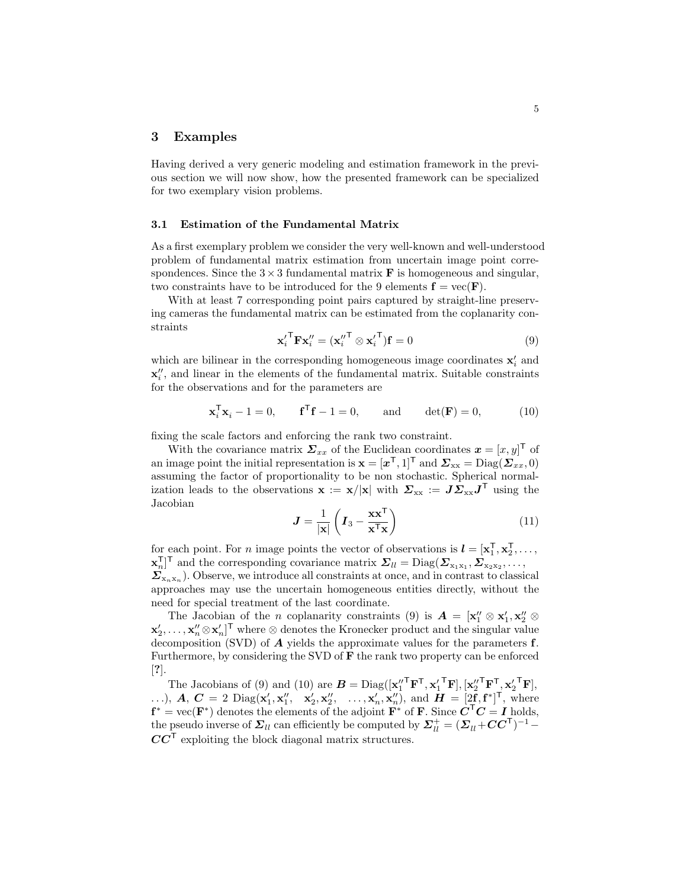#### 3 Examples

Having derived a very generic modeling and estimation framework in the previous section we will now show, how the presented framework can be specialized for two exemplary vision problems.

#### 3.1 Estimation of the Fundamental Matrix

As a first exemplary problem we consider the very well-known and well-understood problem of fundamental matrix estimation from uncertain image point correspondences. Since the  $3 \times 3$  fundamental matrix **F** is homogeneous and singular, two constraints have to be introduced for the 9 elements  $\mathbf{f} = \text{vec}(\mathbf{F})$ .

With at least 7 corresponding point pairs captured by straight-line preserving cameras the fundamental matrix can be estimated from the coplanarity constraints

$$
\mathbf{x}'_i^{\mathsf{T}} \mathbf{F} \mathbf{x}''_i = (\mathbf{x}''_i^{\mathsf{T}} \otimes \mathbf{x}'_i^{\mathsf{T}}) \mathbf{f} = 0 \tag{9}
$$

which are bilinear in the corresponding homogeneous image coordinates  $\mathbf{x}_i'$  and  $\mathbf{x}''_i$ , and linear in the elements of the fundamental matrix. Suitable constraints for the observations and for the parameters are

$$
\mathbf{x}_i^{\mathsf{T}} \mathbf{x}_i - 1 = 0, \quad \mathbf{f}^{\mathsf{T}} \mathbf{f} - 1 = 0, \quad \text{and} \quad \det(\mathbf{F}) = 0, \tag{10}
$$

fixing the scale factors and enforcing the rank two constraint.

With the covariance matrix  $\mathbf{\Sigma}_{xx}$  of the Euclidean coordinates  $\mathbf{x} = [x, y]^\mathsf{T}$  of an image point the initial representation is  $\mathbf{x} = [\boldsymbol{x}^{\mathsf{T}}, 1]^{\mathsf{T}}$  and  $\boldsymbol{\Sigma}_{xx} = \text{Diag}(\boldsymbol{\Sigma}_{xx}, 0)$ assuming the factor of proportionality to be non stochastic. Spherical normalization leads to the observations  $\mathbf{x} := \mathbf{x}/|\mathbf{x}|$  with  $\mathbf{\Sigma}_{\mathbf{x}\mathbf{x}} := \mathbf{J}\mathbf{\Sigma}_{\mathbf{x}\mathbf{x}}\mathbf{J}^{\mathsf{T}}$  using the Jacobian

$$
\mathbf{J} = \frac{1}{|\mathbf{x}|} \left( \mathbf{I}_3 - \frac{\mathbf{x} \mathbf{x}^\mathsf{T}}{\mathbf{x}^\mathsf{T} \mathbf{x}} \right) \tag{11}
$$

for each point. For *n* image points the vector of observations is  $\mathbf{l} = [\mathbf{x}_1^T, \mathbf{x}_2^T, \dots,$  $\mathbf{x}_n^{\text{T}}]^{\text{T}}$  and the corresponding covariance matrix  $\mathbf{\Sigma}_{ll} = \text{Diag}(\mathbf{\Sigma}_{\mathbf{x}_1\mathbf{x}_1}, \mathbf{\Sigma}_{\mathbf{x}_2\mathbf{x}_2}, \dots,$  $\Sigma_{x_n x_n}$ ). Observe, we introduce all constraints at once, and in contrast to classical approaches may use the uncertain homogeneous entities directly, without the need for special treatment of the last coordinate.

The Jacobian of the *n* coplanarity constraints (9) is  $A = [\mathbf{x}_1'' \otimes \mathbf{x}_1', \mathbf{x}_2'' \otimes \mathbf{x}_3']$  $\mathbf{x}_2', \ldots, \mathbf{x}_n'' \otimes \mathbf{x}_n']^{\mathsf{T}}$  where  $\otimes$  denotes the Kronecker product and the singular value decomposition (SVD) of  $\boldsymbol{A}$  yields the approximate values for the parameters  $\boldsymbol{f}$ . Furthermore, by considering the SVD of F the rank two property can be enforced [?].

The Jacobians of (9) and (10) are  $\mathbf{B} = \text{Diag}([\mathbf{x}_1''^T \mathbf{F}^T, {\mathbf{x}_1'}^T \mathbf{F}], [\mathbf{x}_2''^T \mathbf{F}^T, {\mathbf{x}_2'}^T \mathbf{F}],$ ...),  $A, C = 2 \text{ Diag}(\mathbf{x}_1', \mathbf{x}_1'', \mathbf{x}_2', \mathbf{x}_2'', \dots, \mathbf{x}_n', \mathbf{x}_n'')$ , and  $H = [2\mathbf{f}, \mathbf{f}^*]^T$ , where  $f^* = \text{vec}(\mathbf{F}^*)$  denotes the elements of the adjoint  $\mathbf{F}^*$  of **F**. Since  $\mathbf{C}^\mathsf{T} \mathbf{C} = \mathbf{I}$  holds, the pseudo inverse of  $\bm{\Sigma}_{ll}$  can efficiently be computed by  $\bm{\Sigma}_{ll}^+ = (\bm{\Sigma}_{ll} + \bm{C}\bm{C}^\mathsf{T})^{-1} CC^{\mathsf{T}}$  exploiting the block diagonal matrix structures.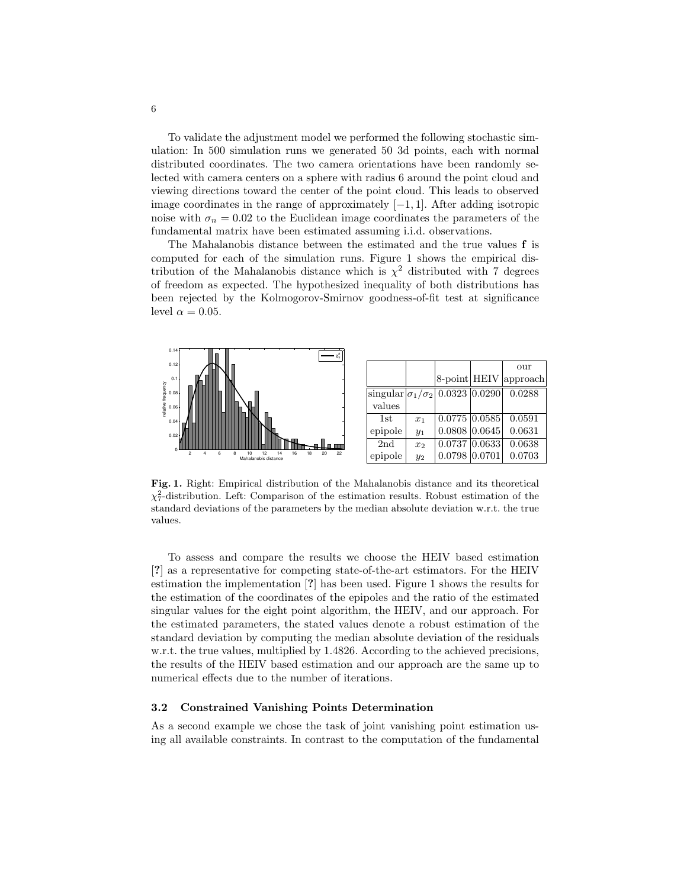To validate the adjustment model we performed the following stochastic simulation: In 500 simulation runs we generated 50 3d points, each with normal distributed coordinates. The two camera orientations have been randomly selected with camera centers on a sphere with radius 6 around the point cloud and viewing directions toward the center of the point cloud. This leads to observed image coordinates in the range of approximately  $[-1, 1]$ . After adding isotropic noise with  $\sigma_n = 0.02$  to the Euclidean image coordinates the parameters of the fundamental matrix have been estimated assuming i.i.d. observations.

The Mahalanobis distance between the estimated and the true values f is computed for each of the simulation runs. Figure 1 shows the empirical distribution of the Mahalanobis distance which is  $\chi^2$  distributed with 7 degrees of freedom as expected. The hypothesized inequality of both distributions has been rejected by the Kolmogorov-Smirnov goodness-of-fit test at significance level  $\alpha = 0.05$ .



Fig. 1. Right: Empirical distribution of the Mahalanobis distance and its theoretical  $\chi^2_7$ -distribution. Left: Comparison of the estimation results. Robust estimation of the standard deviations of the parameters by the median absolute deviation w.r.t. the true values.

To assess and compare the results we choose the HEIV based estimation [?] as a representative for competing state-of-the-art estimators. For the HEIV estimation the implementation [?] has been used. Figure 1 shows the results for the estimation of the coordinates of the epipoles and the ratio of the estimated singular values for the eight point algorithm, the HEIV, and our approach. For the estimated parameters, the stated values denote a robust estimation of the standard deviation by computing the median absolute deviation of the residuals w.r.t. the true values, multiplied by 1.4826. According to the achieved precisions, the results of the HEIV based estimation and our approach are the same up to numerical effects due to the number of iterations.

#### 3.2 Constrained Vanishing Points Determination

As a second example we chose the task of joint vanishing point estimation using all available constraints. In contrast to the computation of the fundamental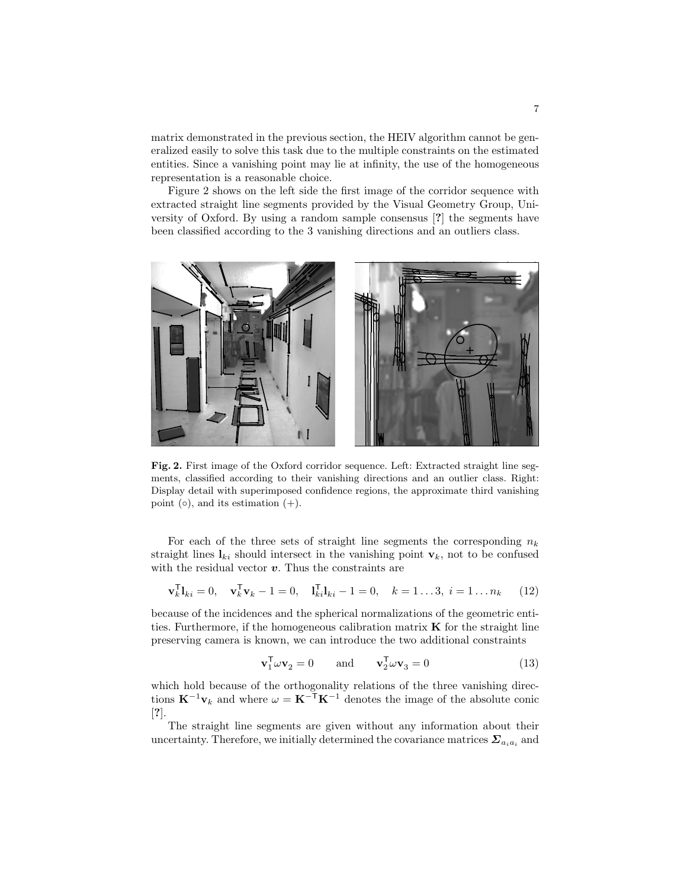matrix demonstrated in the previous section, the HEIV algorithm cannot be generalized easily to solve this task due to the multiple constraints on the estimated entities. Since a vanishing point may lie at infinity, the use of the homogeneous representation is a reasonable choice.

Figure 2 shows on the left side the first image of the corridor sequence with extracted straight line segments provided by the Visual Geometry Group, University of Oxford. By using a random sample consensus [?] the segments have been classified according to the 3 vanishing directions and an outliers class.



Fig. 2. First image of the Oxford corridor sequence. Left: Extracted straight line segments, classified according to their vanishing directions and an outlier class. Right: Display detail with superimposed confidence regions, the approximate third vanishing point  $(○)$ , and its estimation  $(+)$ .

For each of the three sets of straight line segments the corresponding  $n_k$ straight lines  $\mathbf{l}_{ki}$  should intersect in the vanishing point  $\mathbf{v}_k$ , not to be confused with the residual vector  $v$ . Thus the constraints are

$$
\mathbf{v}_k^{\mathsf{T}} \mathbf{l}_{ki} = 0, \quad \mathbf{v}_k^{\mathsf{T}} \mathbf{v}_k - 1 = 0, \quad \mathbf{l}_{ki}^{\mathsf{T}} \mathbf{l}_{ki} - 1 = 0, \quad k = 1 \dots 3, \ i = 1 \dots n_k \tag{12}
$$

because of the incidences and the spherical normalizations of the geometric entities. Furthermore, if the homogeneous calibration matrix  $\bf{K}$  for the straight line preserving camera is known, we can introduce the two additional constraints

$$
\mathbf{v}_1^{\mathsf{T}} \omega \mathbf{v}_2 = 0 \quad \text{and} \quad \mathbf{v}_2^{\mathsf{T}} \omega \mathbf{v}_3 = 0 \tag{13}
$$

which hold because of the orthogonality relations of the three vanishing directions  $\mathbf{K}^{-1}\mathbf{v}_k$  and where  $\omega = \mathbf{K}^{-1}\mathbf{K}^{-1}$  denotes the image of the absolute conic [?].

The straight line segments are given without any information about their uncertainty. Therefore, we initially determined the covariance matrices  $\Sigma_{a_i a_i}$  and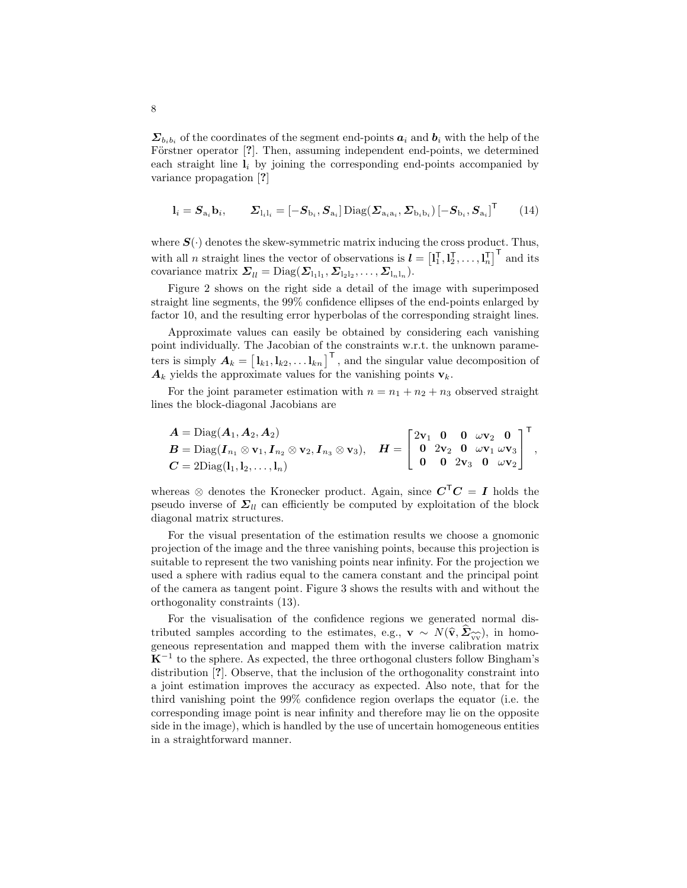$\sum_{b_i b_i}$  of the coordinates of the segment end-points  $a_i$  and  $b_i$  with the help of the Förstner operator [?]. Then, assuming independent end-points, we determined each straight line  $l_i$  by joining the corresponding end-points accompanied by variance propagation [?]

$$
\mathbf{l}_{i} = \mathbf{S}_{\mathbf{a}_{i}} \mathbf{b}_{i}, \qquad \mathbf{\Sigma}_{\mathbf{l}_{i}} \mathbf{l}_{i} = \left[ -\mathbf{S}_{\mathbf{b}_{i}}, \mathbf{S}_{\mathbf{a}_{i}} \right] \mathrm{Diag}(\mathbf{\Sigma}_{\mathbf{a}_{i} \mathbf{a}_{i}}, \mathbf{\Sigma}_{\mathbf{b}_{i} \mathbf{b}_{i}}) \left[ -\mathbf{S}_{\mathbf{b}_{i}}, \mathbf{S}_{\mathbf{a}_{i}} \right]^{\mathsf{T}} \tag{14}
$$

where  $S(\cdot)$  denotes the skew-symmetric matrix inducing the cross product. Thus, with all *n* straight lines the vector of observations is  $\boldsymbol{l} = \begin{bmatrix} 1_1^T, 1_2^T, \ldots, 1_n^T \end{bmatrix}^\mathsf{T}$  and its covariance matrix  $\mathbf{\Sigma}_{ll} = \text{Diag}(\mathbf{\Sigma}_{l_1 l_1}, \mathbf{\Sigma}_{l_2 l_2}, \dots, \mathbf{\Sigma}_{l_n l_n}).$ 

Figure 2 shows on the right side a detail of the image with superimposed straight line segments, the 99% confidence ellipses of the end-points enlarged by factor 10, and the resulting error hyperbolas of the corresponding straight lines.

Approximate values can easily be obtained by considering each vanishing point individually. The Jacobian of the constraints w.r.t. the unknown parameters is simply  $A_k = \begin{bmatrix} 1_{k1}, 1_{k2}, \ldots, 1_{kn} \end{bmatrix}^{\mathsf{T}}$ , and the singular value decomposition of  $A_k$  yields the approximate values for the vanishing points  $v_k$ .

For the joint parameter estimation with  $n = n_1 + n_2 + n_3$  observed straight lines the block-diagonal Jacobians are

$$
A = \text{Diag}(A_1, A_2, A_2)
$$
  
\n
$$
B = \text{Diag}(I_{n_1} \otimes \mathbf{v}_1, I_{n_2} \otimes \mathbf{v}_2, I_{n_3} \otimes \mathbf{v}_3), \quad H = \begin{bmatrix} 2\mathbf{v}_1 & \mathbf{0} & \mathbf{0} & \omega \mathbf{v}_2 & \mathbf{0} \\ \mathbf{0} & 2\mathbf{v}_2 & \mathbf{0} & \omega \mathbf{v}_1 & \omega \mathbf{v}_3 \\ \mathbf{0} & \mathbf{0} & 2\mathbf{v}_3 & \mathbf{0} & \omega \mathbf{v}_2 \end{bmatrix}^{\mathsf{T}},
$$
  
\n
$$
C = 2\text{Diag}(I_1, I_2, \ldots, I_n)
$$

whereas  $\otimes$  denotes the Kronecker product. Again, since  $C^{T}C = I$  holds the pseudo inverse of  $\Sigma_{ll}$  can efficiently be computed by exploitation of the block diagonal matrix structures.

For the visual presentation of the estimation results we choose a gnomonic projection of the image and the three vanishing points, because this projection is suitable to represent the two vanishing points near infinity. For the projection we used a sphere with radius equal to the camera constant and the principal point of the camera as tangent point. Figure 3 shows the results with and without the orthogonality constraints (13).

For the visualisation of the confidence regions we generated normal distributed samples according to the estimates, e.g.,  $\mathbf{v} \sim N(\hat{\mathbf{v}}, \Sigma_{\hat{\mathbf{v}}},\hat{\mathbf{v}})$ , in homo-<br>conceus representation and mapped them with the inverse estimation matrix geneous representation and mapped them with the inverse calibration matrix  $K^{-1}$  to the sphere. As expected, the three orthogonal clusters follow Bingham's distribution [?]. Observe, that the inclusion of the orthogonality constraint into a joint estimation improves the accuracy as expected. Also note, that for the third vanishing point the 99% confidence region overlaps the equator (i.e. the corresponding image point is near infinity and therefore may lie on the opposite side in the image), which is handled by the use of uncertain homogeneous entities in a straightforward manner.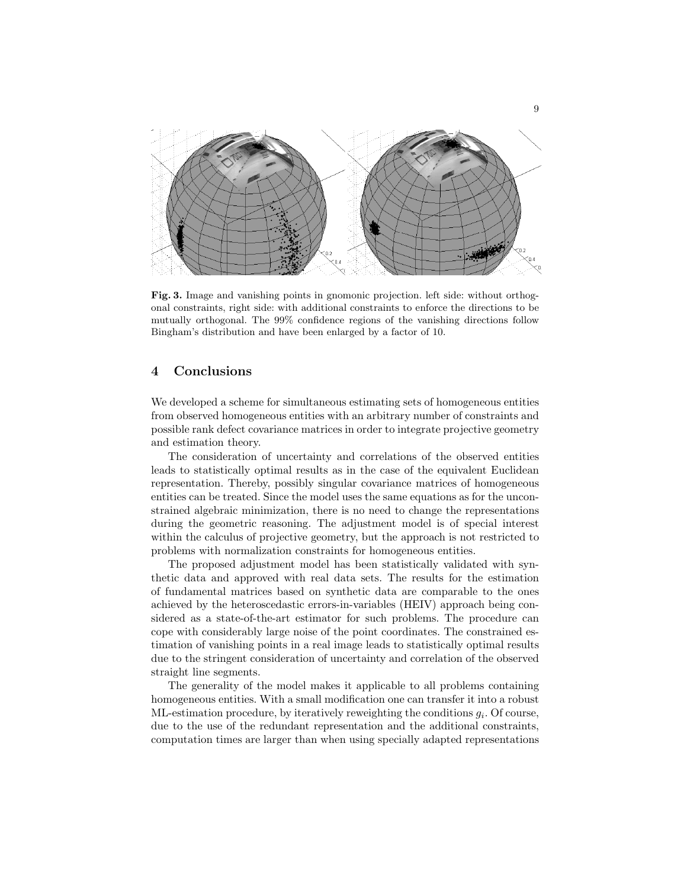

Fig. 3. Image and vanishing points in gnomonic projection. left side: without orthogonal constraints, right side: with additional constraints to enforce the directions to be mutually orthogonal. The 99% confidence regions of the vanishing directions follow Bingham's distribution and have been enlarged by a factor of 10.

### 4 Conclusions

We developed a scheme for simultaneous estimating sets of homogeneous entities from observed homogeneous entities with an arbitrary number of constraints and possible rank defect covariance matrices in order to integrate projective geometry and estimation theory.

The consideration of uncertainty and correlations of the observed entities leads to statistically optimal results as in the case of the equivalent Euclidean representation. Thereby, possibly singular covariance matrices of homogeneous entities can be treated. Since the model uses the same equations as for the unconstrained algebraic minimization, there is no need to change the representations during the geometric reasoning. The adjustment model is of special interest within the calculus of projective geometry, but the approach is not restricted to problems with normalization constraints for homogeneous entities.

The proposed adjustment model has been statistically validated with synthetic data and approved with real data sets. The results for the estimation of fundamental matrices based on synthetic data are comparable to the ones achieved by the heteroscedastic errors-in-variables (HEIV) approach being considered as a state-of-the-art estimator for such problems. The procedure can cope with considerably large noise of the point coordinates. The constrained estimation of vanishing points in a real image leads to statistically optimal results due to the stringent consideration of uncertainty and correlation of the observed straight line segments.

The generality of the model makes it applicable to all problems containing homogeneous entities. With a small modification one can transfer it into a robust ML-estimation procedure, by iteratively reweighting the conditions  $g_i$ . Of course, due to the use of the redundant representation and the additional constraints, computation times are larger than when using specially adapted representations